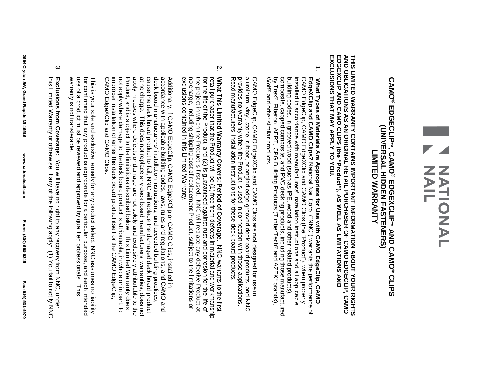# N<br>NATIONAL

#### **CAMO® EDGECLIP**(UNIVERSAL HIDDEN FASTENERS) **(UNIVERSAL HIDDEN FASTENERS) ™, CAMO® LIMITED WARRANTY LINITED NARANANI EDGEXCLIP™ AND CAMO® CLIPS**

AND OBLIGATIONS AS AN ORIGINAL RETAIL PURCHASER OF CAMO EDGECLIP, CAMO<br>EDGEXCLIP AND CAMO CLIPS (the "Product"), AS WELL AS LIMITATIONS AND<br>EXCLUSIONS THAT MAY APPLY TO YOU. **EXCLUSIONS THAT MAY APPLY TO YOU. EDGEXCLIP AND OBLIGATIONS AS AN ORIGINAL RETAIL PURCHASER OF**  THIS LIMITED WARRANTY CONTAINS IMPORTANT INFORMATION ABOUT YOUR RIGHTS **THIS LIMITED WARRANTY CONTAINS IMPORTANT INFORMATION ABOUT YOUR RIGHTS AND CAMO CLIPS (the "Product"), AS WELL AS LIMITATIONS AND CAMO EDGECLIP, CAMO** 

 $\overline{.}$ installed in accordance with manufacturers' installation instructions and all applicable<br>building codes, in grooved wood (such as IPE, wood and other related products), CAMO EdgeClip, CAMO EdgeXClip and CAMO Clips (the "Product"), when properly Wolf ® and by Trex ®composite, capped composite, and PVC decking products, including those manufactured building codes, in grooved wood (such as IPE, wood and other related products), installed in accordance with manufacturers' installation instructions and all applicable CAMO EdgeClip, CAMO EdgeXClip **EdgeXClip What Types of Materials Are Appropriate for Use with** , Fiberon, AERT, CPG other similar products. **and CAMO Clips?** National Nail Corp. ("NNC") Building Products (TimberTech and CAMO Clips (the "Product"), when properly **CAMO EdgeClip, CAMO**  warrants ® and AZEK® the performance of brands),

aluminum, vinyl, stone, rubber, or angled edge grooved deck board products, and NNC<br>provides no warranty when the Product is used in connection with those applications.<br>Read manufacturers' installation instructions for the Read manufacturers' provides no warranty when the Product is used in connection with those applications. aluminum, vinyl, stone, rubber, or angled edge grooved deck board products, and NNC CAMO EdgeClip, CAMO installation instructions for these deck board products. EdgeXClip and CAMO Clips are **not** designed for use in

 $\overline{v}$ no charge, including shipping cost of replacement Product, subject to the limitations or<br>exclusions contained in this Limited Warranty. What This Limited Warranty Covers; Period of Coverage. exclusions contained in this Limited Warranty. no charge, including shipping cost of replacement Product, subject to the limitations or the project for the life of the Product, retail purchaser that the Product will be (1) free trom defects in material and workmanship. retail purchaser **What This Limited Warranty Covers; Period of Coverage.** in which the Product is first used. NNC will replace any defective Product that the Product and (2) is will be (1) free from defects in material and workmanship guaranteed against rust and corrosion for the life of NNC<br>NO warrants to the first at

not apply where damage to the deck board product is attributable, in whole or in part, to<br>improper installation of either the deck board product itself or the CAMO EdgeClip, Progris subject to the elimitations described below. This Linited Marranty does apply in cases where defects or damage are not solely and exclusively attributable to the cause the deck board product to fail, NNC will replace the damaged deck board product<br>at no charge. This does not replace any deck board manufacturers' warranties, does not deck board manufacturers' installation instructions, and accepted building practices, accordance with applicable building codes, laws, rules and regulations, and CAMO and Additionally, if CAMO EdgeClip, CAMO EdgeXClip or CAMO Clips, installed in CAMO improper installation of either the deck board product itself or the CAMO not apply where damage to the deck board product is attributable, in whole or in part, to Product, and is subject to the limitations described below apply in cases where defects or damage are not solely and exclusively attributable to the at no charge. This does not replace cause the deck board product to fail, NNC will replace the damaged deck board product deck board manufacturers' accordance with applicable building codes, laws, rules and regulations, and CAMO Additionally, if CAMO EdgeClip, CAMO EdgeXClip EdgeXClip and CAMO Clips. installation instructions, and accepted building practices, any deck board manufacturers' warranties, does not or CAMO Clips, . This Limited Warranty does installed in

warranty is not transferable. for confirming that any product is appropriate for a particular purpose, and each intended warranty is not transferable. use of a product must be reviewed and approved by qualified professionals. use of a product must be reviewed and approved by qualified professionals. This for confirming that any product is appropriate for a particular purpose, and each intended This is your sole and exclusive remedy for any product defect. NNC assumes no liability This is your sole and exclusive remedy for any product defect. NNC assumes no liability This

 $\sim$ this Limited Warranty or otherwise, if any of the following apply: (1) You fail to notify NNC Exclusions from Coverage: You will have no right to any recovery from NNC, under this Limited Warranty or otherwise, if any of the following apply: (1) You fail to notify NNC **Exclusions from Coverage:** You will have no right to any recovery from NNC, under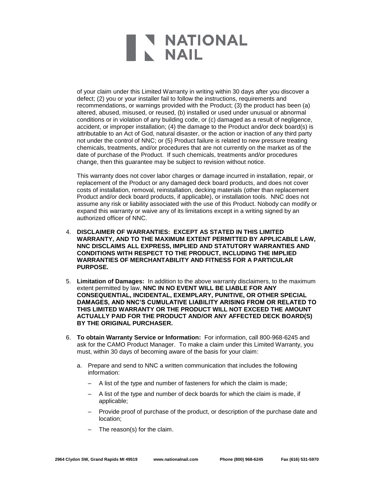of your claim under this Limited Warranty in writing within 30 days after you discover a defect; (2) you or your installer fail to follow the instructions, requirements and recommendations, or warnings provided with the Product; (3) the product has been (a) altered, abused, misused, or reused, (b) installed or used under unusual or abnormal conditions or in violation of any building code, or (c) damaged as a result of negligence, accident, or improper installation; (4) the damage to the Product and/or deck board(s) is attributable to an Act of God, natural disaster, or the action or inaction of any third party not under the control of NNC; or (5) Product failure is related to new pressure treating chemicals, treatments, and/or procedures that are not currently on the market as of the date of purchase of the Product. If such chemicals, treatments and/or procedures change, then this guarantee may be subject to revision without notice.

This warranty does not cover labor charges or damage incurred in installation, repair, or replacement of the Product or any damaged deck board products, and does not cover costs of installation, removal, reinstallation, decking materials (other than replacement Product and/or deck board products, if applicable), or installation tools. NNC does not assume any risk or liability associated with the use of this Product. Nobody can modify or expand this warranty or waive any of its limitations except in a writing signed by an authorized officer of NNC.

- 4. **DISCLAIMER OF WARRANTIES: EXCEPT AS STATED IN THIS LIMITED WARRANTY, AND TO THE MAXIMUM EXTENT PERMITTED BY APPLICABLE LAW, NNC DISCLAIMS ALL EXPRESS, IMPLIED AND STATUTORY WARRANTIES AND CONDITIONS WITH RESPECT TO THE PRODUCT, INCLUDING THE IMPLIED WARRANTIES OF MERCHANTABILITY AND FITNESS FOR A PARTICULAR PURPOSE.**
- 5. **Limitation of Damages:** In addition to the above warranty disclaimers, to the maximum extent permitted by law, **NNC IN NO EVENT WILL BE LIABLE FOR ANY CONSEQUENTIAL, INCIDENTAL, EXEMPLARY, PUNITIVE, OR OTHER SPECIAL DAMAGES, AND NNC'S CUMULATIVE LIABILITY ARISING FROM OR RELATED TO THIS LIMITED WARRANTY OR THE PRODUCT WILL NOT EXCEED THE AMOUNT ACTUALLY PAID FOR THE PRODUCT AND/OR ANY AFFECTED DECK BOARD(S) BY THE ORIGINAL PURCHASER.**
- 6. **To obtain Warranty Service or Information:** For information, call 800-968-6245 and ask for the CAMO Product Manager. To make a claim under this Limited Warranty, you must, within 30 days of becoming aware of the basis for your claim:
	- a. Prepare and send to NNC a written communication that includes the following information:
		- A list of the type and number of fasteners for which the claim is made;
		- A list of the type and number of deck boards for which the claim is made, if applicable;
		- Provide proof of purchase of the product, or description of the purchase date and location;
		- The reason(s) for the claim.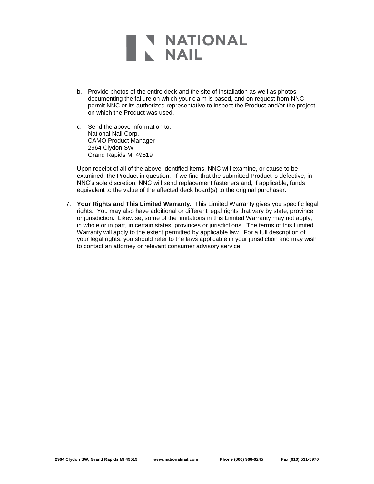- b. Provide photos of the entire deck and the site of installation as well as photos documenting the failure on which your claim is based, and on request from NNC permit NNC or its authorized representative to inspect the Product and/or the project on which the Product was used.
- c. Send the above information to: National Nail Corp. CAMO Product Manager 2964 Clydon SW Grand Rapids MI 49519

Upon receipt of all of the above-identified items, NNC will examine, or cause to be examined, the Product in question. If we find that the submitted Product is defective, in NNC's sole discretion, NNC will send replacement fasteners and, if applicable, funds equivalent to the value of the affected deck board(s) to the original purchaser.

7. **Your Rights and This Limited Warranty.** This Limited Warranty gives you specific legal rights. You may also have additional or different legal rights that vary by state, province or jurisdiction. Likewise, some of the limitations in this Limited Warranty may not apply, in whole or in part, in certain states, provinces or jurisdictions. The terms of this Limited Warranty will apply to the extent permitted by applicable law. For a full description of your legal rights, you should refer to the laws applicable in your jurisdiction and may wish to contact an attorney or relevant consumer advisory service.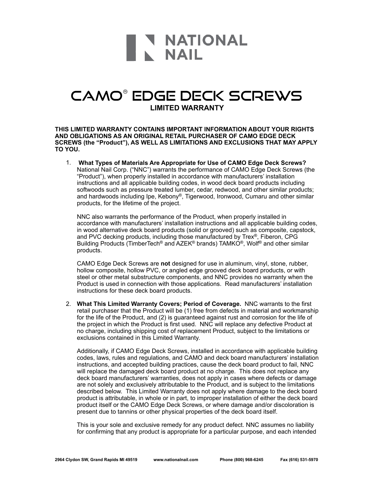#### CAMO® EDGE DECK SCREWS **LIMITED WARRANTY**

**THIS LIMITED WARRANTY CONTAINS IMPORTANT INFORMATION ABOUT YOUR RIGHTS AND OBLIGATIONS AS AN ORIGINAL RETAIL PURCHASER OF CAMO EDGE DECK SCREWS (the "Product"), AS WELL AS LIMITATIONS AND EXCLUSIONS THAT MAY APPLY TO YOU.** 

1. **What Types of Materials Are Appropriate for Use of CAMO Edge Deck Screws?**  National Nail Corp. ("NNC") warrants the performance of CAMO Edge Deck Screws (the "Product"), when properly installed in accordance with manufacturers' installation instructions and all applicable building codes, in wood deck board products including softwoods such as pressure treated lumber, cedar, redwood, and other similar products; and hardwoods including Ipe, Kebony®, Tigerwood, Ironwood, Cumaru and other similar products, for the lifetime of the project.

NNC also warrants the performance of the Product, when properly installed in accordance with manufacturers' installation instructions and all applicable building codes, in wood alternative deck board products (solid or grooved) such as composite, capstock, and PVC decking products, including those manufactured by Trex®, Fiberon, CPG Building Products (TimberTech® and AZEK® brands) TAMKO®, Wolf® and other similar products.

CAMO Edge Deck Screws are **not** designed for use in aluminum, vinyl, stone, rubber, hollow composite, hollow PVC, or angled edge grooved deck board products, or with steel or other metal substructure components, and NNC provides no warranty when the Product is used in connection with those applications. Read manufacturers' installation instructions for these deck board products.

2. **What This Limited Warranty Covers; Period of Coverage.** NNC warrants to the first retail purchaser that the Product will be (1) free from defects in material and workmanship for the life of the Product, and (2) is guaranteed against rust and corrosion for the life of the project in which the Product is first used. NNC will replace any defective Product at no charge, including shipping cost of replacement Product, subject to the limitations or exclusions contained in this Limited Warranty.

Additionally, if CAMO Edge Deck Screws, installed in accordance with applicable building codes, laws, rules and regulations, and CAMO and deck board manufacturers' installation instructions, and accepted building practices, cause the deck board product to fail, NNC will replace the damaged deck board product at no charge. This does not replace any deck board manufacturers' warranties, does not apply in cases where defects or damage are not solely and exclusively attributable to the Product, and is subject to the limitations described below. This Limited Warranty does not apply where damage to the deck board product is attributable, in whole or in part, to improper installation of either the deck board product itself or the CAMO Edge Deck Screws, or where damage and/or discoloration is present due to tannins or other physical properties of the deck board itself.

This is your sole and exclusive remedy for any product defect. NNC assumes no liability for confirming that any product is appropriate for a particular purpose, and each intended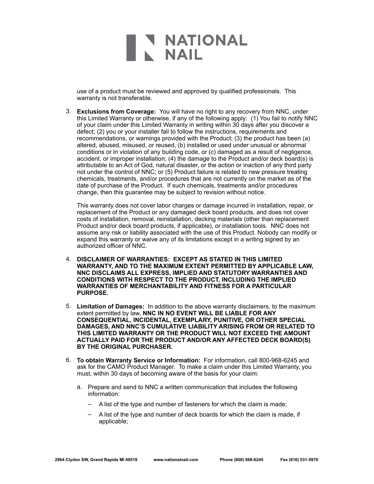use of a product must be reviewed and approved by qualified professionals. This warranty is not transferable.

3. **Exclusions from Coverage:** You will have no right to any recovery from NNC, under this Limited Warranty or otherwise, if any of the following apply: (1) You fail to notify NNC of your claim under this Limited Warranty in writing within 30 days after you discover a defect; (2) you or your installer fail to follow the instructions, requirements and recommendations, or warnings provided with the Product; (3) the product has been (a) altered, abused, misused, or reused, (b) installed or used under unusual or abnormal conditions or in violation of any building code, or (c) damaged as a result of negligence, accident, or improper installation; (4) the damage to the Product and/or deck board(s) is attributable to an Act of God, natural disaster, or the action or inaction of any third party not under the control of NNC; or (5) Product failure is related to new pressure treating chemicals, treatments, and/or procedures that are not currently on the market as of the date of purchase of the Product. If such chemicals, treatments and/or procedures change, then this guarantee may be subject to revision without notice.

This warranty does not cover labor charges or damage incurred in installation, repair, or replacement of the Product or any damaged deck board products, and does not cover costs of installation, removal, reinstallation, decking materials (other than replacement Product and/or deck board products, if applicable), or installation tools. NNC does not assume any risk or liability associated with the use of this Product. Nobody can modify or expand this warranty or waive any of its limitations except in a writing signed by an authorized officer of NNC.

- 4. **DISCLAIMER OF WARRANTIES: EXCEPT AS STATED IN THIS LIMITED WARRANTY, AND TO THE MAXIMUM EXTENT PERMITTED BY APPLICABLE LAW, NNC DISCLAIMS ALL EXPRESS, IMPLIED AND STATUTORY WARRANTIES AND CONDITIONS WITH RESPECT TO THE PRODUCT, INCLUDING THE IMPLIED WARRANTIES OF MERCHANTABILITY AND FITNESS FOR A PARTICULAR PURPOSE.**
- 5. **Limitation of Damages:** In addition to the above warranty disclaimers, to the maximum extent permitted by law, **NNC IN NO EVENT WILL BE LIABLE FOR ANY CONSEQUENTIAL, INCIDENTAL, EXEMPLARY, PUNITIVE, OR OTHER SPECIAL DAMAGES, AND NNC'S CUMULATIVE LIABILITY ARISING FROM OR RELATED TO THIS LIMITED WARRANTY OR THE PRODUCT WILL NOT EXCEED THE AMOUNT ACTUALLY PAID FOR THE PRODUCT AND/OR ANY AFFECTED DECK BOARD(S) BY THE ORIGINAL PURCHASER.**
- 6. **To obtain Warranty Service or Information:** For information, call 800-968-6245 and ask for the CAMO Product Manager. To make a claim under this Limited Warranty, you must, within 30 days of becoming aware of the basis for your claim:
	- a. Prepare and send to NNC a written communication that includes the following information:
		- A list of the type and number of fasteners for which the claim is made;
		- A list of the type and number of deck boards for which the claim is made, if applicable;